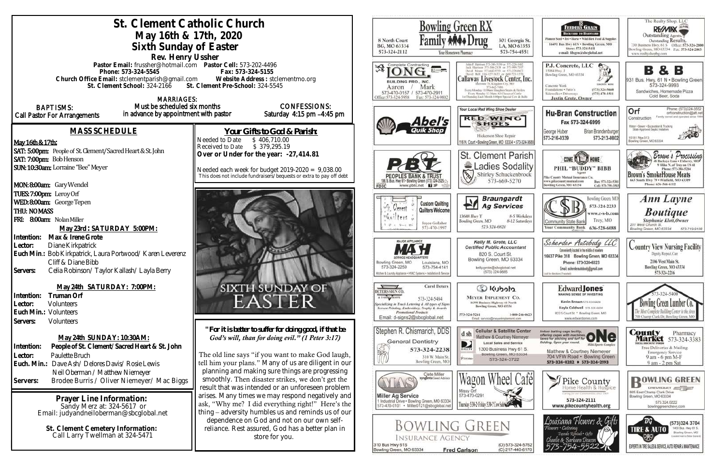